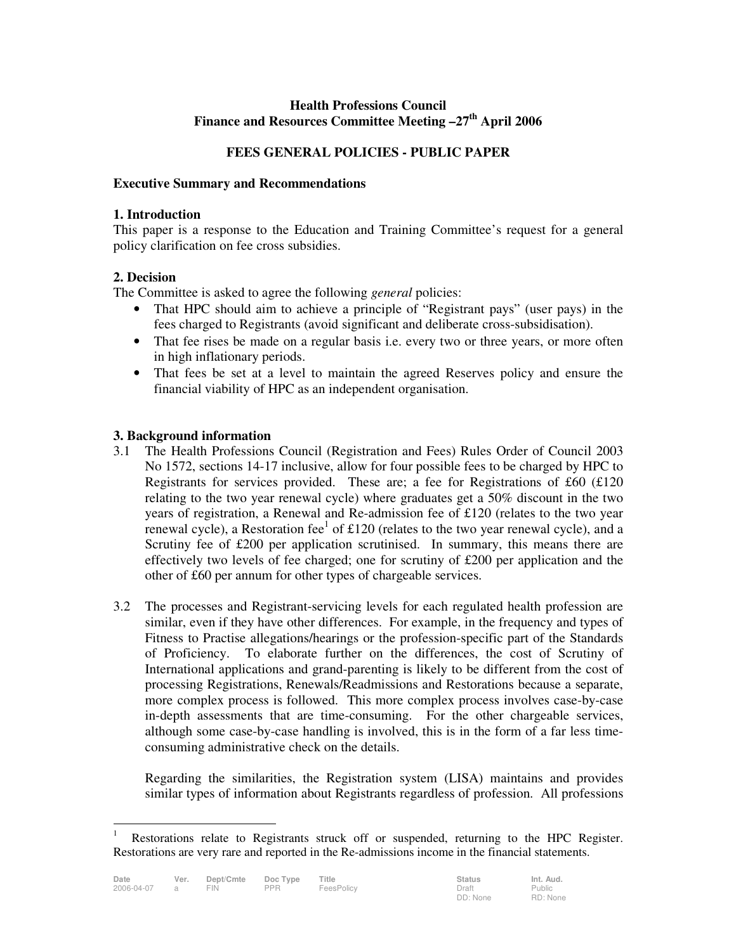## **Health Professions Council Finance and Resources Committee Meeting –27th April 2006**

# **FEES GENERAL POLICIES - PUBLIC PAPER**

#### **Executive Summary and Recommendations**

#### **1. Introduction**

This paper is a response to the Education and Training Committee's request for a general policy clarification on fee cross subsidies.

## **2. Decision**

The Committee is asked to agree the following *general* policies:

- That HPC should aim to achieve a principle of "Registrant pays" (user pays) in the fees charged to Registrants (avoid significant and deliberate cross-subsidisation).
- That fee rises be made on a regular basis i.e. every two or three years, or more often in high inflationary periods.
- That fees be set at a level to maintain the agreed Reserves policy and ensure the financial viability of HPC as an independent organisation.

## **3. Background information**

- 3.1 The Health Professions Council (Registration and Fees) Rules Order of Council 2003 No 1572, sections 14-17 inclusive, allow for four possible fees to be charged by HPC to Registrants for services provided. These are; a fee for Registrations of £60 (£120 relating to the two year renewal cycle) where graduates get a 50% discount in the two years of registration, a Renewal and Re-admission fee of £120 (relates to the two year renewal cycle), a Restoration fee $<sup>1</sup>$  of £120 (relates to the two year renewal cycle), and a</sup> Scrutiny fee of £200 per application scrutinised. In summary, this means there are effectively two levels of fee charged; one for scrutiny of £200 per application and the other of £60 per annum for other types of chargeable services.
- 3.2 The processes and Registrant-servicing levels for each regulated health profession are similar, even if they have other differences. For example, in the frequency and types of Fitness to Practise allegations/hearings or the profession-specific part of the Standards of Proficiency. To elaborate further on the differences, the cost of Scrutiny of International applications and grand-parenting is likely to be different from the cost of processing Registrations, Renewals/Readmissions and Restorations because a separate, more complex process is followed. This more complex process involves case-by-case in-depth assessments that are time-consuming. For the other chargeable services, although some case-by-case handling is involved, this is in the form of a far less timeconsuming administrative check on the details.

 Regarding the similarities, the Registration system (LISA) maintains and provides similar types of information about Registrants regardless of profession. All professions

 $\overline{a}$ 

<sup>1</sup> Restorations relate to Registrants struck off or suspended, returning to the HPC Register. Restorations are very rare and reported in the Re-admissions income in the financial statements.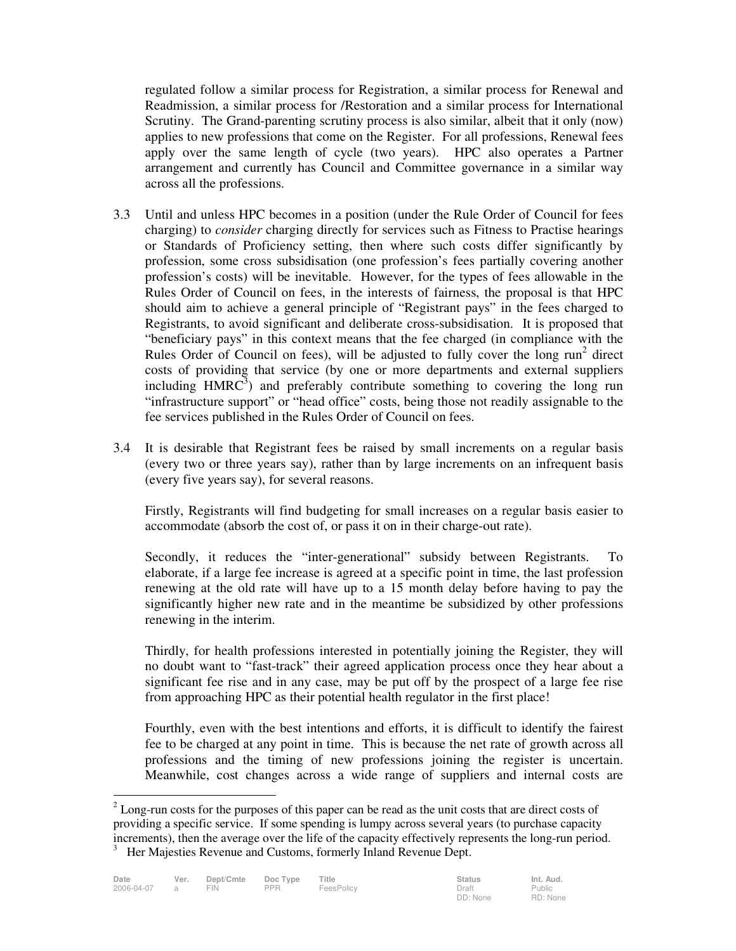regulated follow a similar process for Registration, a similar process for Renewal and Readmission, a similar process for /Restoration and a similar process for International Scrutiny. The Grand-parenting scrutiny process is also similar, albeit that it only (now) applies to new professions that come on the Register. For all professions, Renewal fees apply over the same length of cycle (two years). HPC also operates a Partner arrangement and currently has Council and Committee governance in a similar way across all the professions.

- 3.3 Until and unless HPC becomes in a position (under the Rule Order of Council for fees charging) to *consider* charging directly for services such as Fitness to Practise hearings or Standards of Proficiency setting, then where such costs differ significantly by profession, some cross subsidisation (one profession's fees partially covering another profession's costs) will be inevitable. However, for the types of fees allowable in the Rules Order of Council on fees, in the interests of fairness, the proposal is that HPC should aim to achieve a general principle of "Registrant pays" in the fees charged to Registrants, to avoid significant and deliberate cross-subsidisation. It is proposed that "beneficiary pays" in this context means that the fee charged (in compliance with the Rules Order of Council on fees), will be adjusted to fully cover the  $\log$  run<sup>2</sup> direct costs of providing that service (by one or more departments and external suppliers including  $HMRC<sup>3</sup>$  and preferably contribute something to covering the long run "infrastructure support" or "head office" costs, being those not readily assignable to the fee services published in the Rules Order of Council on fees.
- 3.4 It is desirable that Registrant fees be raised by small increments on a regular basis (every two or three years say), rather than by large increments on an infrequent basis (every five years say), for several reasons.

 Firstly, Registrants will find budgeting for small increases on a regular basis easier to accommodate (absorb the cost of, or pass it on in their charge-out rate).

 Secondly, it reduces the "inter-generational" subsidy between Registrants. To elaborate, if a large fee increase is agreed at a specific point in time, the last profession renewing at the old rate will have up to a 15 month delay before having to pay the significantly higher new rate and in the meantime be subsidized by other professions renewing in the interim.

 Thirdly, for health professions interested in potentially joining the Register, they will no doubt want to "fast-track" their agreed application process once they hear about a significant fee rise and in any case, may be put off by the prospect of a large fee rise from approaching HPC as their potential health regulator in the first place!

 Fourthly, even with the best intentions and efforts, it is difficult to identify the fairest fee to be charged at any point in time. This is because the net rate of growth across all professions and the timing of new professions joining the register is uncertain. Meanwhile, cost changes across a wide range of suppliers and internal costs are

 $\overline{a}$ 

 $2^{2}$  Long-run costs for the purposes of this paper can be read as the unit costs that are direct costs of providing a specific service. If some spending is lumpy across several years (to purchase capacity increments), then the average over the life of the capacity effectively represents the long-run period.

<sup>&</sup>lt;sup>3</sup> Her Majesties Revenue and Customs, formerly Inland Revenue Dept.